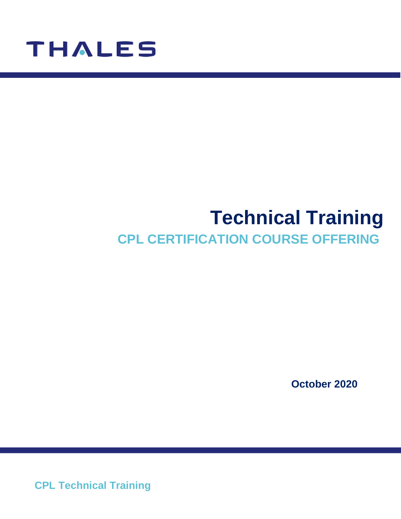

# **Technical Training CPL CERTIFICATION COURSE OFFERING**

**October 2020**

**CPL Technical Training**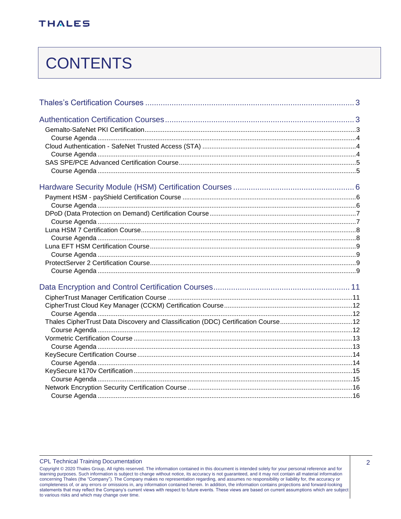# **CONTENTS**

| Thales CipherTrust Data Discovery and Classification (DDC) Certification Course12 |  |
|-----------------------------------------------------------------------------------|--|
|                                                                                   |  |
|                                                                                   |  |
|                                                                                   |  |
|                                                                                   |  |
|                                                                                   |  |
|                                                                                   |  |
|                                                                                   |  |
|                                                                                   |  |
|                                                                                   |  |

#### **CPL Technical Training Documentation**

Copyright @ 2020 Thales Group, All rights reserved. The information contained in this document is intended solely for your personal reference and for learning purposes. Such information is subject to change without notice, its accuracy is not guaranteed, and it may not contain all material information concerning publishes (the "Company"). The Company makes no representation regarding, and assumes no responsibility or liability for, the accuracy or<br>concerning Thales (the "Company"). The Company makes no representation re to various risks and which may change over time.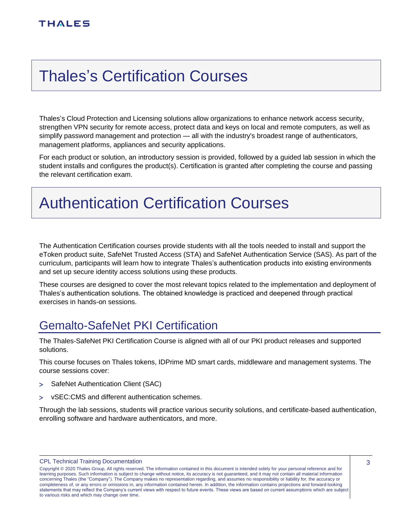# <span id="page-2-0"></span>Thales's Certification Courses

Thales's Cloud Protection and Licensing solutions allow organizations to enhance network access security, strengthen VPN security for remote access, protect data and keys on local and remote computers, as well as simplify password management and protection — all with the industry's broadest range of authenticators, management platforms, appliances and security applications.

For each product or solution, an introductory session is provided, followed by a guided lab session in which the student installs and configures the product(s). Certification is granted after completing the course and passing the relevant certification exam.

# <span id="page-2-1"></span>Authentication Certification Courses

The Authentication Certification courses provide students with all the tools needed to install and support the eToken product suite, SafeNet Trusted Access (STA) and SafeNet Authentication Service (SAS). As part of the curriculum, participants will learn how to integrate Thales's authentication products into existing environments and set up secure identity access solutions using these products.

These courses are designed to cover the most relevant topics related to the implementation and deployment of Thales's authentication solutions. The obtained knowledge is practiced and deepened through practical exercises in hands-on sessions.

## <span id="page-2-2"></span>Gemalto-SafeNet PKI Certification

The Thales-SafeNet PKI Certification Course is aligned with all of our PKI product releases and supported solutions.

This course focuses on Thales tokens, IDPrime MD smart cards, middleware and management systems. The course sessions cover:

- > SafeNet Authentication Client (SAC)
- vSEC:CMS and different authentication schemes.

Through the lab sessions, students will practice various security solutions, and certificate-based authentication, enrolling software and hardware authenticators, and more.

CPL Technical Training Documentation

Copyright © 2020 Thales Group, All rights reserved. The information contained in this document is intended solely for your personal reference and for learning purposes. Such information is subject to change without notice, its accuracy is not guaranteed, and it may not contain all material information concerning Thales (the "Company"). The Company makes no representation regarding, and assumes no responsibility or liability for, the accuracy or completeness of, or any errors or omissions in, any information contained herein. In addition, the information contains projections and forward-looking statements that may reflect the Company's current views with respect to future events. These views are based on current assumptions which are subject to various risks and which may change over time.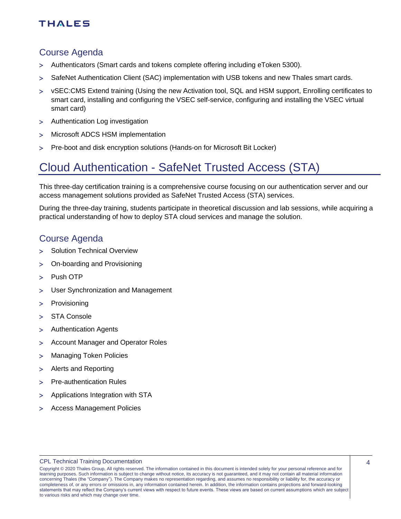#### <span id="page-3-0"></span>Course Agenda

- Authenticators (Smart cards and tokens complete offering including eToken 5300).
- SafeNet Authentication Client (SAC) implementation with USB tokens and new Thales smart cards.
- vSEC:CMS Extend training (Using the new Activation tool, SQL and HSM support, Enrolling certificates to smart card, installing and configuring the VSEC self-service, configuring and installing the VSEC virtual smart card)
- Authentication Log investigation
- Microsoft ADCS HSM implementation
- Pre-boot and disk encryption solutions (Hands-on for Microsoft Bit Locker)

### <span id="page-3-1"></span>Cloud Authentication - SafeNet Trusted Access (STA)

This three-day certification training is a comprehensive course focusing on our authentication server and our access management solutions provided as SafeNet Trusted Access (STA) services.

During the three-day training, students participate in theoretical discussion and lab sessions, while acquiring a practical understanding of how to deploy STA cloud services and manage the solution.

#### <span id="page-3-2"></span>Course Agenda

- > Solution Technical Overview
- On-boarding and Provisioning
- > Push OTP
- User Synchronization and Management
- > Provisioning
- > STA Console
- Authentication Agents
- Account Manager and Operator Roles
- Managing Token Policies
- Alerts and Reporting
- > Pre-authentication Rules
- Applications Integration with STA
- Access Management Policies

Copyright © 2020 Thales Group, All rights reserved. The information contained in this document is intended solely for your personal reference and for learning purposes. Such information is subject to change without notice, its accuracy is not guaranteed, and it may not contain all material information concerning Thales (the "Company"). The Company makes no representation regarding, and assumes no responsibility or liability for, the accuracy or completeness of, or any errors or omissions in, any information contained herein. In addition, the information contains projections and forward-looking statements that may reflect the Company's current views with respect to future events. These views are based on current assumptions which are subject to various risks and which may change over time.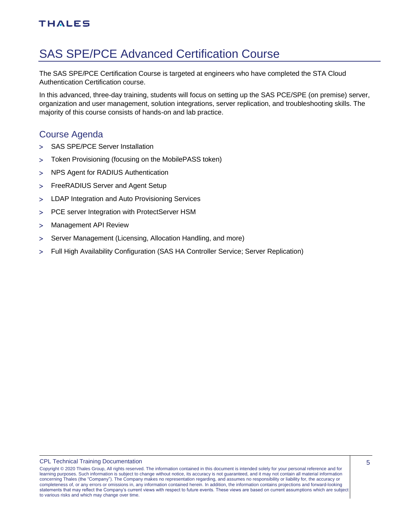### <span id="page-4-0"></span>SAS SPE/PCE Advanced Certification Course

The SAS SPE/PCE Certification Course is targeted at engineers who have completed the STA Cloud Authentication Certification course.

In this advanced, three-day training, students will focus on setting up the SAS PCE/SPE (on premise) server, organization and user management, solution integrations, server replication, and troubleshooting skills. The majority of this course consists of hands-on and lab practice.

### <span id="page-4-1"></span>Course Agenda

- > SAS SPE/PCE Server Installation
- Token Provisioning (focusing on the MobilePASS token)
- NPS Agent for RADIUS Authentication
- FreeRADIUS Server and Agent Setup
- LDAP Integration and Auto Provisioning Services
- PCE server Integration with ProtectServer HSM
- Management API Review
- > Server Management (Licensing, Allocation Handling, and more)
- Full High Availability Configuration (SAS HA Controller Service; Server Replication)

Copyright © 2020 Thales Group, All rights reserved. The information contained in this document is intended solely for your personal reference and for learning purposes. Such information is subject to change without notice, its accuracy is not guaranteed, and it may not contain all material information concerning Thales (the "Company"). The Company makes no representation regarding, and assumes no responsibility or liability for, the accuracy or completeness of, or any errors or omissions in, any information contained herein. In addition, the information contains projections and forward-looking statements that may reflect the Company's current views with respect to future events. These views are based on current assumptions which are subject to various risks and which may change over time.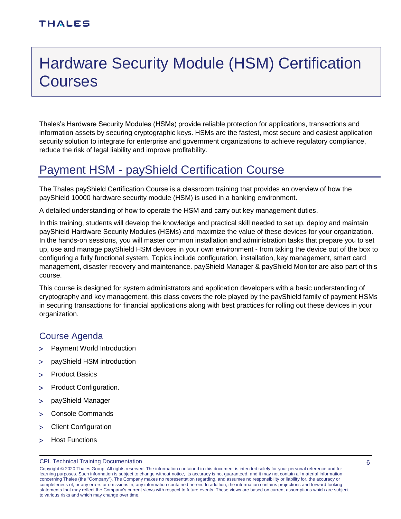# <span id="page-5-0"></span>Hardware Security Module (HSM) Certification **Courses**

Thales's Hardware Security Modules (HSMs) provide reliable protection for applications, transactions and information assets by securing cryptographic keys. HSMs are the fastest, most secure and easiest application security solution to integrate for enterprise and government organizations to achieve regulatory compliance, reduce the risk of legal liability and improve profitability.

### <span id="page-5-1"></span>Payment HSM - payShield Certification Course

The Thales payShield Certification Course is a classroom training that provides an overview of how the payShield 10000 hardware security module (HSM) is used in a banking environment.

A detailed understanding of how to operate the HSM and carry out key management duties.

In this training, students will develop the knowledge and practical skill needed to set up, deploy and maintain payShield Hardware Security Modules (HSMs) and maximize the value of these devices for your organization. In the hands-on sessions, you will master common installation and administration tasks that prepare you to set up, use and manage payShield HSM devices in your own environment - from taking the device out of the box to configuring a fully functional system. Topics include configuration, installation, key management, smart card management, disaster recovery and maintenance. payShield Manager & payShield Monitor are also part of this course.

This course is designed for system administrators and application developers with a basic understanding of cryptography and key management, this class covers the role played by the payShield family of payment HSMs in securing transactions for financial applications along with best practices for rolling out these devices in your organization.

### <span id="page-5-2"></span>Course Agenda

- > Payment World Introduction
- payShield HSM introduction
- > Product Basics
- > Product Configuration.
- payShield Manager
- Console Commands
- Client Configuration
- > Host Functions

#### CPL Technical Training Documentation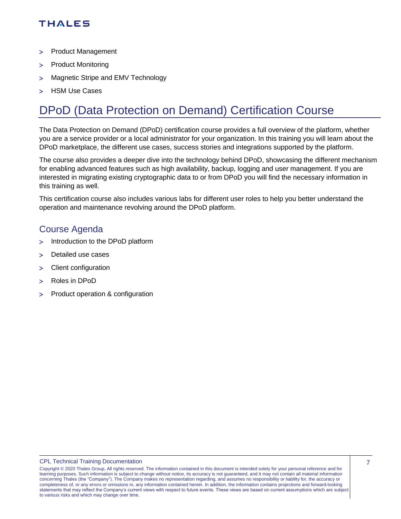- > Product Management
- > Product Monitoring
- > Magnetic Stripe and EMV Technology
- > HSM Use Cases

## <span id="page-6-0"></span>DPoD (Data Protection on Demand) Certification Course

The Data Protection on Demand (DPoD) certification course provides a full overview of the platform, whether you are a service provider or a local administrator for your organization. In this training you will learn about the DPoD marketplace, the different use cases, success stories and integrations supported by the platform.

The course also provides a deeper dive into the technology behind DPoD, showcasing the different mechanism for enabling advanced features such as high availability, backup, logging and user management. If you are interested in migrating existing cryptographic data to or from DPoD you will find the necessary information in this training as well.

This certification course also includes various labs for different user roles to help you better understand the operation and maintenance revolving around the DPoD platform.

### <span id="page-6-1"></span>Course Agenda

- > Introduction to the DPoD platform
- > Detailed use cases
- Client configuration
- Roles in DPoD
- > Product operation & configuration

Copyright © 2020 Thales Group, All rights reserved. The information contained in this document is intended solely for your personal reference and for learning purposes. Such information is subject to change without notice, its accuracy is not guaranteed, and it may not contain all material information concerning Thales (the "Company"). The Company makes no representation regarding, and assumes no responsibility or liability for, the accuracy or completeness of, or any errors or omissions in, any information contained herein. In addition, the information contains projections and forward-looking statements that may reflect the Company's current views with respect to future events. These views are based on current assumptions which are subject to various risks and which may change over time.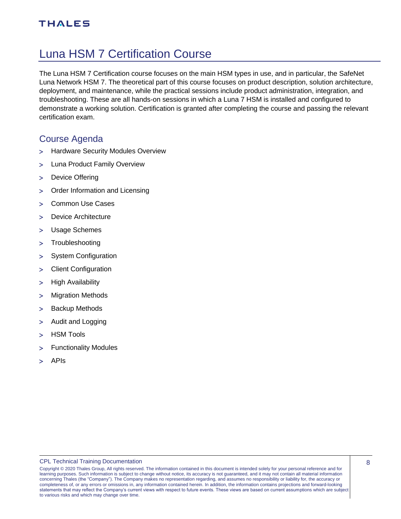## <span id="page-7-0"></span>Luna HSM 7 Certification Course

The Luna HSM 7 Certification course focuses on the main HSM types in use, and in particular, the SafeNet Luna Network HSM 7. The theoretical part of this course focuses on product description, solution architecture, deployment, and maintenance, while the practical sessions include product administration, integration, and troubleshooting. These are all hands-on sessions in which a Luna 7 HSM is installed and configured to demonstrate a working solution. Certification is granted after completing the course and passing the relevant certification exam.

#### <span id="page-7-1"></span>Course Agenda

- > Hardware Security Modules Overview
- Luna Product Family Overview
- > Device Offering
- Order Information and Licensing
- Common Use Cases
- > Device Architecture
- Usage Schemes
- > Troubleshooting
- > System Configuration
- Client Configuration
- > High Availability
- Migration Methods
- > Backup Methods
- > Audit and Logging
- > HSM Tools
- Functionality Modules
- > APIs

Copyright © 2020 Thales Group, All rights reserved. The information contained in this document is intended solely for your personal reference and for learning purposes. Such information is subject to change without notice, its accuracy is not guaranteed, and it may not contain all material information concerning Thales (the "Company"). The Company makes no representation regarding, and assumes no responsibility or liability for, the accuracy or completeness of, or any errors or omissions in, any information contained herein. In addition, the information contains projections and forward-looking statements that may reflect the Company's current views with respect to future events. These views are based on current assumptions which are subject to various risks and which may change over time.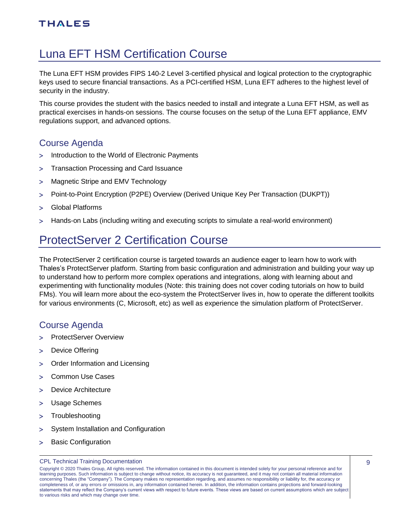## <span id="page-8-0"></span>Luna EFT HSM Certification Course

The Luna EFT HSM provides FIPS 140-2 Level 3-certified physical and logical protection to the cryptographic keys used to secure financial transactions. As a PCI-certified HSM, Luna EFT adheres to the highest level of security in the industry.

This course provides the student with the basics needed to install and integrate a Luna EFT HSM, as well as practical exercises in hands-on sessions. The course focuses on the setup of the Luna EFT appliance, EMV regulations support, and advanced options.

### <span id="page-8-1"></span>Course Agenda

- > Introduction to the World of Electronic Payments
- Transaction Processing and Card Issuance
- > Magnetic Stripe and EMV Technology
- Point-to-Point Encryption (P2PE) Overview (Derived Unique Key Per Transaction (DUKPT))
- Global Platforms
- Hands-on Labs (including writing and executing scripts to simulate a real-world environment)

### <span id="page-8-2"></span>ProtectServer 2 Certification Course

The ProtectServer 2 certification course is targeted towards an audience eager to learn how to work with Thales's ProtectServer platform. Starting from basic configuration and administration and building your way up to understand how to perform more complex operations and integrations, along with learning about and experimenting with functionality modules (Note: this training does not cover coding tutorials on how to build FMs). You will learn more about the eco-system the ProtectServer lives in, how to operate the different toolkits for various environments (C, Microsoft, etc) as well as experience the simulation platform of ProtectServer.

### <span id="page-8-3"></span>Course Agenda

- > ProtectServer Overview
- > Device Offering
- Order Information and Licensing
- Common Use Cases
- Device Architecture
- Usage Schemes
- > Troubleshooting
- System Installation and Configuration
- > Basic Configuration

Copyright © 2020 Thales Group, All rights reserved. The information contained in this document is intended solely for your personal reference and for learning purposes. Such information is subject to change without notice, its accuracy is not guaranteed, and it may not contain all material information concerning Thales (the "Company"). The Company makes no representation regarding, and assumes no responsibility or liability for, the accuracy or completeness of, or any errors or omissions in, any information contained herein. In addition, the information contains projections and forward-looking statements that may reflect the Company's current views with respect to future events. These views are based on current assumptions which are subject to various risks and which may change over time.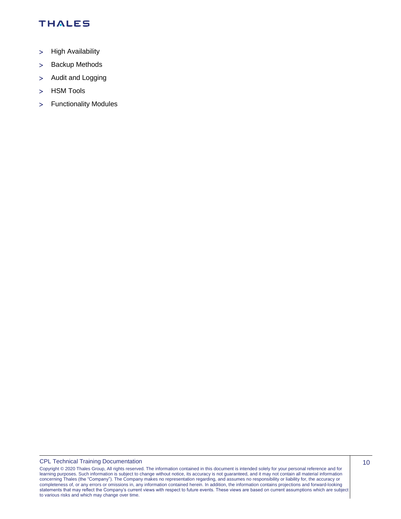- > High Availability
- > Backup Methods
- > Audit and Logging
- > HSM Tools
- Functionality Modules

CPL Technical Training Documentation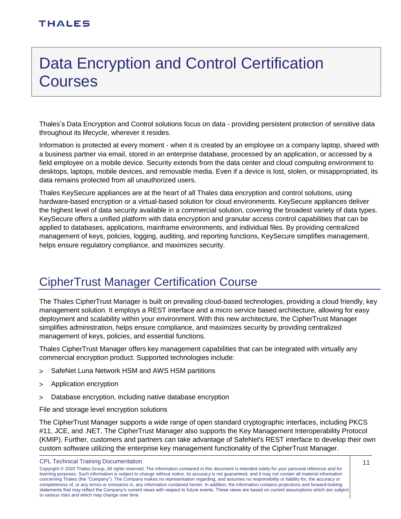# <span id="page-10-0"></span>Data Encryption and Control Certification **Courses**

Thales's Data Encryption and Control solutions focus on data - providing persistent protection of sensitive data throughout its lifecycle, wherever it resides.

Information is protected at every moment - when it is created by an employee on a company laptop, shared with a business partner via email, stored in an enterprise database, processed by an application, or accessed by a field employee on a mobile device. Security extends from the data center and cloud computing environment to desktops, laptops, mobile devices, and removable media. Even if a device is lost, stolen, or misappropriated, its data remains protected from all unauthorized users.

Thales KeySecure appliances are at the heart of all Thales data encryption and control solutions, using hardware-based encryption or a virtual-based solution for cloud environments. KeySecure appliances deliver the highest level of data security available in a commercial solution, covering the broadest variety of data types. KeySecure offers a unified platform with data encryption and granular access control capabilities that can be applied to databases, applications, mainframe environments, and individual files. By providing centralized management of keys, policies, logging, auditing, and reporting functions, KeySecure simplifies management, helps ensure regulatory compliance, and maximizes security.

### <span id="page-10-1"></span>CipherTrust Manager Certification Course

The Thales CipherTrust Manager is built on prevailing cloud-based technologies, providing a cloud friendly, key management solution. It employs a REST interface and a micro service based architecture, allowing for easy deployment and scalability within your environment. With this new architecture, the CipherTrust Manager simplifies administration, helps ensure compliance, and maximizes security by providing centralized management of keys, policies, and essential functions.

Thales CipherTrust Manager offers key management capabilities that can be integrated with virtually any commercial encryption product. Supported technologies include:

- > SafeNet Luna Network HSM and AWS HSM partitions
- Application encryption
- Database encryption, including native database encryption

File and storage level encryption solutions

The CipherTrust Manager supports a wide range of open standard cryptographic interfaces, including PKCS #11, JCE, and .NET. The CipherTrust Manager also supports the Key Management Interoperability Protocol (KMIP). Further, customers and partners can take advantage of SafeNet's REST interface to develop their own custom software utilizing the enterprise key management functionality of the CipherTrust Manager.

CPL Technical Training Documentation

Copyright © 2020 Thales Group, All rights reserved. The information contained in this document is intended solely for your personal reference and for learning purposes. Such information is subject to change without notice, its accuracy is not guaranteed, and it may not contain all material information concerning Thales (the "Company"). The Company makes no representation regarding, and assumes no responsibility or liability for, the accuracy or completeness of, or any errors or omissions in, any information contained herein. In addition, the information contains projections and forward-looking statements that may reflect the Company's current views with respect to future events. These views are based on current assumptions which are subject to various risks and which may change over time.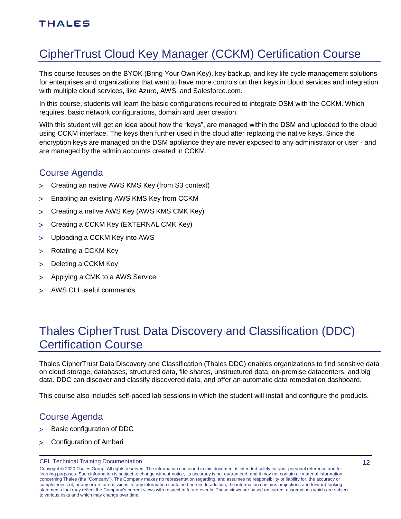# <span id="page-11-0"></span>CipherTrust Cloud Key Manager (CCKM) Certification Course

This course focuses on the BYOK (Bring Your Own Key), key backup, and key life cycle management solutions for enterprises and organizations that want to have more controls on their keys in cloud services and integration with multiple cloud services, like Azure, AWS, and Salesforce.com.

In this course, students will learn the basic configurations required to integrate DSM with the CCKM. Which requires, basic network configurations, domain and user creation.

With this student will get an idea about how the "keys", are managed within the DSM and uploaded to the cloud using CCKM interface. The keys then further used in the cloud after replacing the native keys. Since the encryption keys are managed on the DSM appliance they are never exposed to any administrator or user - and are managed by the admin accounts created in CCKM.

### <span id="page-11-1"></span>Course Agenda

- Creating an native AWS KMS Key (from S3 context)
- Enabling an existing AWS KMS Key from CCKM
- Creating a native AWS Key (AWS KMS CMK Key)
- Creating a CCKM Key (EXTERNAL CMK Key)
- Uploading a CCKM Key into AWS
- > Rotating a CCKM Key
- > Deleting a CCKM Key
- > Applying a CMK to a AWS Service
- AWS CLI useful commands

## <span id="page-11-2"></span>Thales CipherTrust Data Discovery and Classification (DDC) Certification Course

Thales CipherTrust Data Discovery and Classification (Thales DDC) enables organizations to find sensitive data on cloud storage, databases, structured data, file shares, unstructured data, on-premise datacenters, and big data. DDC can discover and classify discovered data, and offer an automatic data remediation dashboard.

<span id="page-11-3"></span>This course also includes self-paced lab sessions in which the student will install and configure the products.

### Course Agenda

- > Basic configuration of DDC
- Configuration of Ambari

#### CPL Technical Training Documentation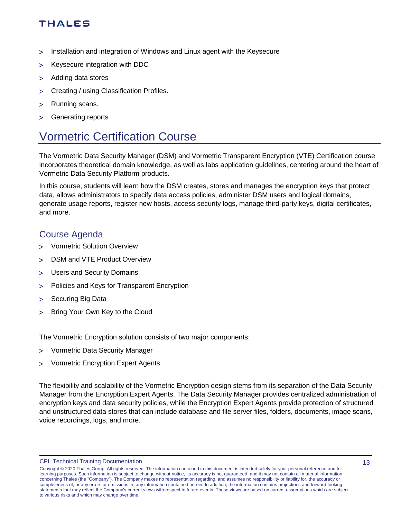- Installation and integration of Windows and Linux agent with the Keysecure
- > Keysecure integration with DDC
- > Adding data stores
- Creating / using Classification Profiles.
- > Running scans.
- > Generating reports

## <span id="page-12-0"></span>Vormetric Certification Course

The Vormetric Data Security Manager (DSM) and Vormetric Transparent Encryption (VTE) Certification course incorporates theoretical domain knowledge, as well as labs application guidelines, centering around the heart of Vormetric Data Security Platform products.

In this course, students will learn how the DSM creates, stores and manages the encryption keys that protect data, allows administrators to specify data access policies, administer DSM users and logical domains, generate usage reports, register new hosts, access security logs, manage third-party keys, digital certificates, and more.

### <span id="page-12-1"></span>Course Agenda

- Vormetric Solution Overview
- DSM and VTE Product Overview
- Users and Security Domains
- Policies and Keys for Transparent Encryption
- > Securing Big Data
- > Bring Your Own Key to the Cloud

The Vormetric Encryption solution consists of two major components:

- Vormetric Data Security Manager
- Vormetric Encryption Expert Agents

The flexibility and scalability of the Vormetric Encryption design stems from its separation of the Data Security Manager from the Encryption Expert Agents. The Data Security Manager provides centralized administration of encryption keys and data security policies, while the Encryption Expert Agents provide protection of structured and unstructured data stores that can include database and file server files, folders, documents, image scans, voice recordings, logs, and more.

CPL Technical Training Documentation

Copyright © 2020 Thales Group, All rights reserved. The information contained in this document is intended solely for your personal reference and for learning purposes. Such information is subject to change without notice, its accuracy is not guaranteed, and it may not contain all material information concerning Thales (the "Company"). The Company makes no representation regarding, and assumes no responsibility or liability for, the accuracy or completeness of, or any errors or omissions in, any information contained herein. In addition, the information contains projections and forward-looking statements that may reflect the Company's current views with respect to future events. These views are based on current assumptions which are subject to various risks and which may change over time.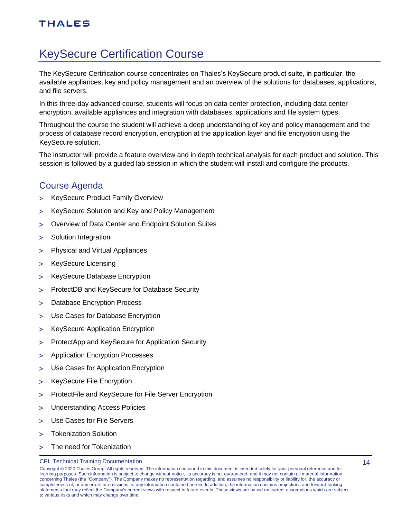# <span id="page-13-0"></span>KeySecure Certification Course

The KeySecure Certification course concentrates on Thales's KeySecure product suite, in particular, the available appliances, key and policy management and an overview of the solutions for databases, applications, and file servers.

In this three-day advanced course, students will focus on data center protection, including data center encryption, available appliances and integration with databases, applications and file system types.

Throughout the course the student will achieve a deep understanding of key and policy management and the process of database record encryption, encryption at the application layer and file encryption using the KeySecure solution.

The instructor will provide a feature overview and in depth technical analysis for each product and solution. This session is followed by a guided lab session in which the student will install and configure the products.

### <span id="page-13-1"></span>Course Agenda

- > KeySecure Product Family Overview
- KeySecure Solution and Key and Policy Management
- Overview of Data Center and Endpoint Solution Suites
- > Solution Integration
- Physical and Virtual Appliances
- > KeySecure Licensing
- > KeySecure Database Encryption
- ProtectDB and KeySecure for Database Security
- > Database Encryption Process
- Use Cases for Database Encryption
- > KeySecure Application Encryption
- > ProtectApp and KeySecure for Application Security
- Application Encryption Processes
- Use Cases for Application Encryption
- > KeySecure File Encryption
- > ProtectFile and KeySecure for File Server Encryption
- Understanding Access Policies
- Use Cases for File Servers
- Tokenization Solution
- > The need for Tokenization

#### CPL Technical Training Documentation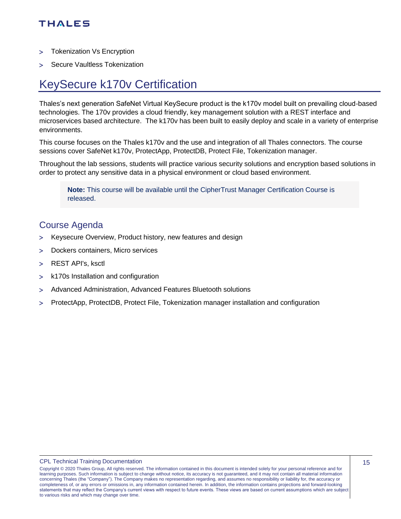- > Tokenization Vs Encryption
- > Secure Vaultless Tokenization

### <span id="page-14-0"></span>KeySecure k170v Certification

Thales's next generation SafeNet Virtual KeySecure product is the k170v model built on prevailing cloud-based technologies. The 170v provides a cloud friendly, key management solution with a REST interface and microservices based architecture. The k170v has been built to easily deploy and scale in a variety of enterprise environments.

This course focuses on the Thales k170v and the use and integration of all Thales connectors. The course sessions cover SafeNet k170v, ProtectApp, ProtectDB, Protect File, Tokenization manager.

Throughout the lab sessions, students will practice various security solutions and encryption based solutions in order to protect any sensitive data in a physical environment or cloud based environment.

**Note:** This course will be available until the CipherTrust Manager Certification Course is released.

#### <span id="page-14-1"></span>Course Agenda

- > Keysecure Overview, Product history, new features and design
- Dockers containers, Micro services
- REST API's, ksctl
- k170s Installation and configuration
- Advanced Administration, Advanced Features Bluetooth solutions
- ProtectApp, ProtectDB, Protect File, Tokenization manager installation and configuration

Copyright © 2020 Thales Group, All rights reserved. The information contained in this document is intended solely for your personal reference and for learning purposes. Such information is subject to change without notice, its accuracy is not guaranteed, and it may not contain all material information concerning Thales (the "Company"). The Company makes no representation regarding, and assumes no responsibility or liability for, the accuracy or completeness of, or any errors or omissions in, any information contained herein. In addition, the information contains projections and forward-looking statements that may reflect the Company's current views with respect to future events. These views are based on current assumptions which are subject to various risks and which may change over time.